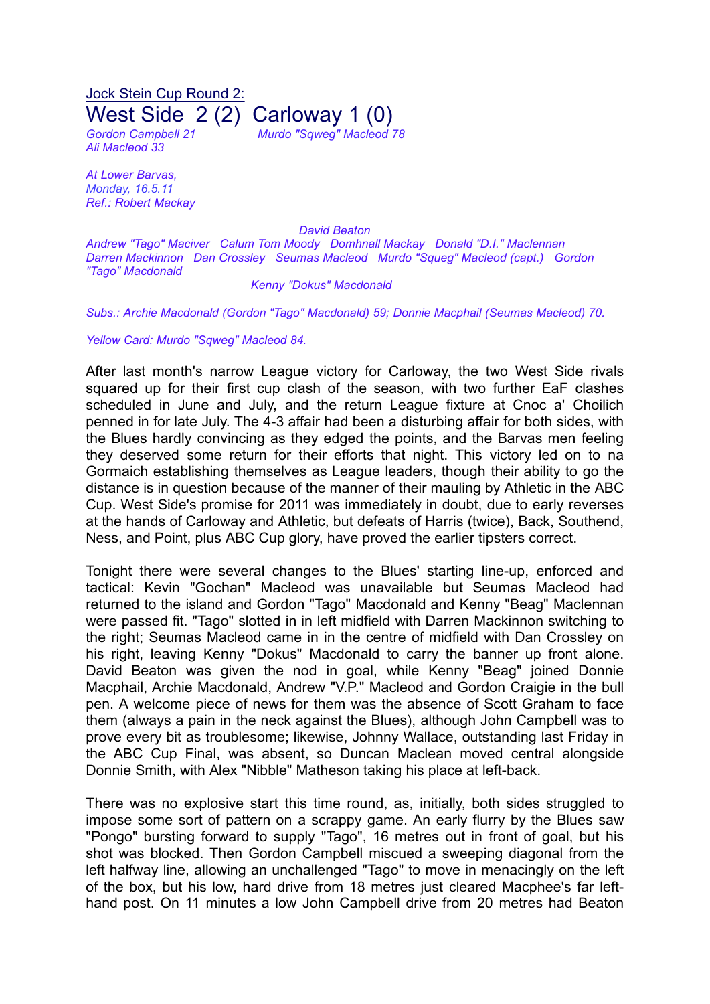Jock Stein Cup Round 2: West Side 2 (2) Carloway 1 (0) *Gordon Campbell 21 Murdo "Sqweg" Macleod 78*

*Ali Macleod 33*

*At Lower Barvas, Monday, 16.5.11 Ref.: Robert Mackay*

*David Beaton*

*Andrew "Tago" Maciver Calum Tom Moody Domhnall Mackay Donald "D.I." Maclennan Darren Mackinnon Dan Crossley Seumas Macleod Murdo "Squeg" Macleod (capt.) Gordon "Tago" Macdonald*

## *Kenny "Dokus" Macdonald*

*Subs.: Archie Macdonald (Gordon "Tago" Macdonald) 59; Donnie Macphail (Seumas Macleod) 70.*

*Yellow Card: Murdo "Sqweg" Macleod 84.*

After last month's narrow League victory for Carloway, the two West Side rivals squared up for their first cup clash of the season, with two further EaF clashes scheduled in June and July, and the return League fixture at Cnoc a' Choilich penned in for late July. The 4-3 affair had been a disturbing affair for both sides, with the Blues hardly convincing as they edged the points, and the Barvas men feeling they deserved some return for their efforts that night. This victory led on to na Gormaich establishing themselves as League leaders, though their ability to go the distance is in question because of the manner of their mauling by Athletic in the ABC Cup. West Side's promise for 2011 was immediately in doubt, due to early reverses at the hands of Carloway and Athletic, but defeats of Harris (twice), Back, Southend, Ness, and Point, plus ABC Cup glory, have proved the earlier tipsters correct.

Tonight there were several changes to the Blues' starting line-up, enforced and tactical: Kevin "Gochan" Macleod was unavailable but Seumas Macleod had returned to the island and Gordon "Tago" Macdonald and Kenny "Beag" Maclennan were passed fit. "Tago" slotted in in left midfield with Darren Mackinnon switching to the right; Seumas Macleod came in in the centre of midfield with Dan Crossley on his right, leaving Kenny "Dokus" Macdonald to carry the banner up front alone. David Beaton was given the nod in goal, while Kenny "Beag" joined Donnie Macphail, Archie Macdonald, Andrew "V.P." Macleod and Gordon Craigie in the bull pen. A welcome piece of news for them was the absence of Scott Graham to face them (always a pain in the neck against the Blues), although John Campbell was to prove every bit as troublesome; likewise, Johnny Wallace, outstanding last Friday in the ABC Cup Final, was absent, so Duncan Maclean moved central alongside Donnie Smith, with Alex "Nibble" Matheson taking his place at left-back.

There was no explosive start this time round, as, initially, both sides struggled to impose some sort of pattern on a scrappy game. An early flurry by the Blues saw "Pongo" bursting forward to supply "Tago", 16 metres out in front of goal, but his shot was blocked. Then Gordon Campbell miscued a sweeping diagonal from the left halfway line, allowing an unchallenged "Tago" to move in menacingly on the left of the box, but his low, hard drive from 18 metres just cleared Macphee's far lefthand post. On 11 minutes a low John Campbell drive from 20 metres had Beaton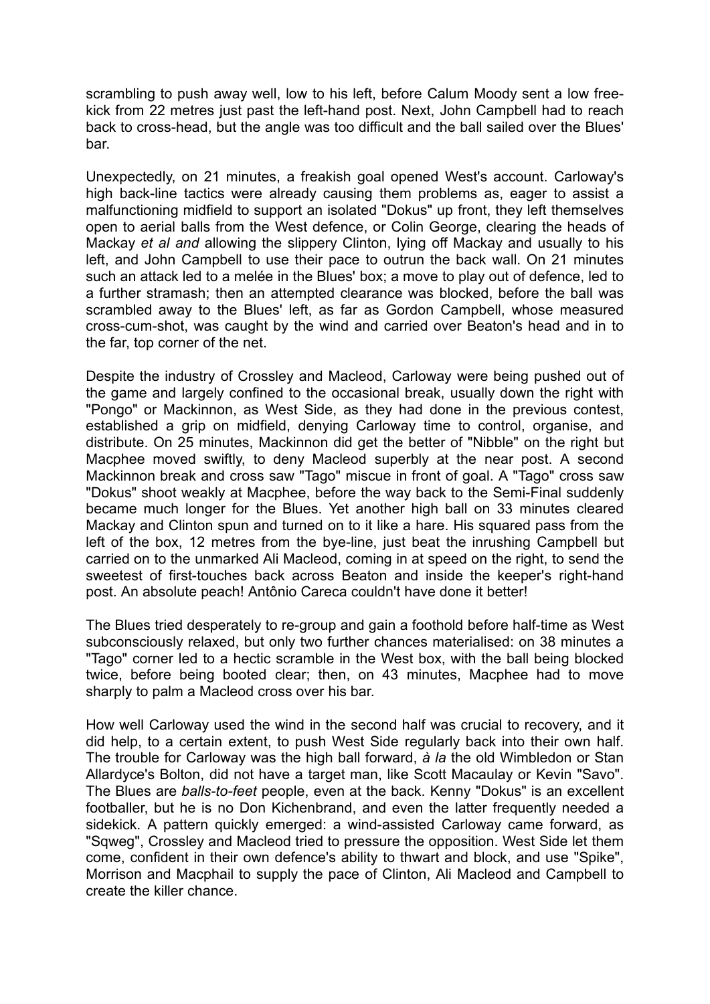scrambling to push away well, low to his left, before Calum Moody sent a low freekick from 22 metres just past the left-hand post. Next, John Campbell had to reach back to cross-head, but the angle was too difficult and the ball sailed over the Blues' bar.

Unexpectedly, on 21 minutes, a freakish goal opened West's account. Carloway's high back-line tactics were already causing them problems as, eager to assist a malfunctioning midfield to support an isolated "Dokus" up front, they left themselves open to aerial balls from the West defence, or Colin George, clearing the heads of Mackay *et al and* allowing the slippery Clinton, lying off Mackay and usually to his left, and John Campbell to use their pace to outrun the back wall. On 21 minutes such an attack led to a melée in the Blues' box; a move to play out of defence, led to a further stramash; then an attempted clearance was blocked, before the ball was scrambled away to the Blues' left, as far as Gordon Campbell, whose measured cross-cum-shot, was caught by the wind and carried over Beaton's head and in to the far, top corner of the net.

Despite the industry of Crossley and Macleod, Carloway were being pushed out of the game and largely confined to the occasional break, usually down the right with "Pongo" or Mackinnon, as West Side, as they had done in the previous contest, established a grip on midfield, denying Carloway time to control, organise, and distribute. On 25 minutes, Mackinnon did get the better of "Nibble" on the right but Macphee moved swiftly, to deny Macleod superbly at the near post. A second Mackinnon break and cross saw "Tago" miscue in front of goal. A "Tago" cross saw "Dokus" shoot weakly at Macphee, before the way back to the Semi-Final suddenly became much longer for the Blues. Yet another high ball on 33 minutes cleared Mackay and Clinton spun and turned on to it like a hare. His squared pass from the left of the box, 12 metres from the bye-line, just beat the inrushing Campbell but carried on to the unmarked Ali Macleod, coming in at speed on the right, to send the sweetest of first-touches back across Beaton and inside the keeper's right-hand post. An absolute peach! Antônio Careca couldn't have done it better!

The Blues tried desperately to re-group and gain a foothold before half-time as West subconsciously relaxed, but only two further chances materialised: on 38 minutes a "Tago" corner led to a hectic scramble in the West box, with the ball being blocked twice, before being booted clear; then, on 43 minutes, Macphee had to move sharply to palm a Macleod cross over his bar.

How well Carloway used the wind in the second half was crucial to recovery, and it did help, to a certain extent, to push West Side regularly back into their own half. The trouble for Carloway was the high ball forward, *à la* the old Wimbledon or Stan Allardyce's Bolton, did not have a target man, like Scott Macaulay or Kevin "Savo". The Blues are *balls-to-feet* people, even at the back. Kenny "Dokus" is an excellent footballer, but he is no Don Kichenbrand, and even the latter frequently needed a sidekick. A pattern quickly emerged: a wind-assisted Carloway came forward, as "Sqweg", Crossley and Macleod tried to pressure the opposition. West Side let them come, confident in their own defence's ability to thwart and block, and use "Spike", Morrison and Macphail to supply the pace of Clinton, Ali Macleod and Campbell to create the killer chance.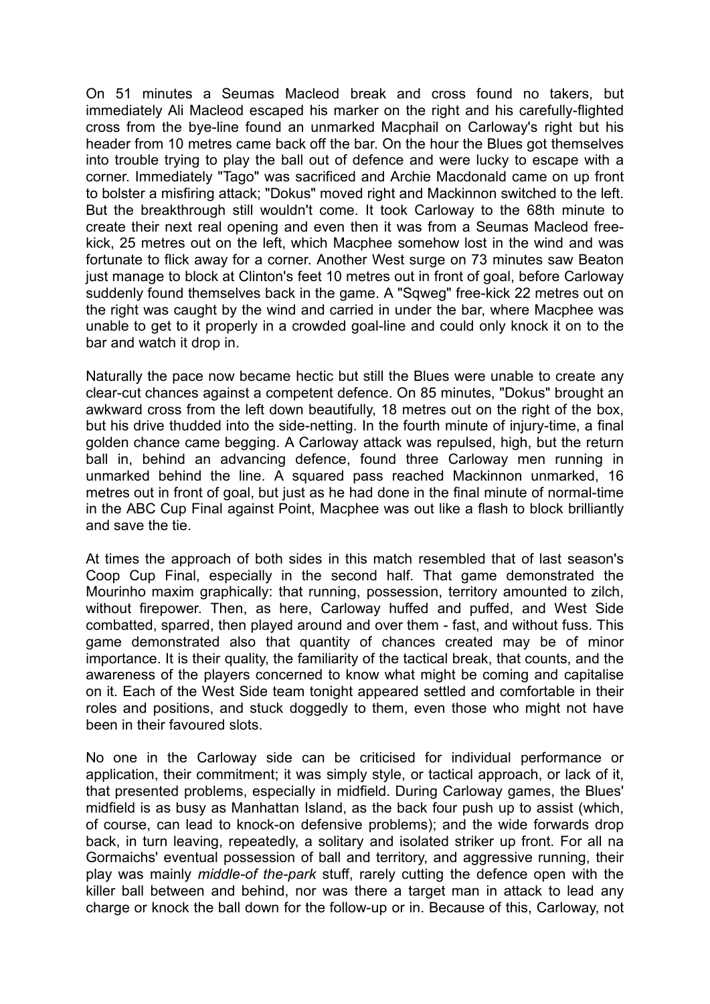On 51 minutes a Seumas Macleod break and cross found no takers, but immediately Ali Macleod escaped his marker on the right and his carefully-flighted cross from the bye-line found an unmarked Macphail on Carloway's right but his header from 10 metres came back off the bar. On the hour the Blues got themselves into trouble trying to play the ball out of defence and were lucky to escape with a corner. Immediately "Tago" was sacrificed and Archie Macdonald came on up front to bolster a misfiring attack; "Dokus" moved right and Mackinnon switched to the left. But the breakthrough still wouldn't come. It took Carloway to the 68th minute to create their next real opening and even then it was from a Seumas Macleod freekick, 25 metres out on the left, which Macphee somehow lost in the wind and was fortunate to flick away for a corner. Another West surge on 73 minutes saw Beaton just manage to block at Clinton's feet 10 metres out in front of goal, before Carloway suddenly found themselves back in the game. A "Sqweg" free-kick 22 metres out on the right was caught by the wind and carried in under the bar, where Macphee was unable to get to it properly in a crowded goal-line and could only knock it on to the bar and watch it drop in.

Naturally the pace now became hectic but still the Blues were unable to create any clear-cut chances against a competent defence. On 85 minutes, "Dokus" brought an awkward cross from the left down beautifully, 18 metres out on the right of the box, but his drive thudded into the side-netting. In the fourth minute of injury-time, a final golden chance came begging. A Carloway attack was repulsed, high, but the return ball in, behind an advancing defence, found three Carloway men running in unmarked behind the line. A squared pass reached Mackinnon unmarked, 16 metres out in front of goal, but just as he had done in the final minute of normal-time in the ABC Cup Final against Point, Macphee was out like a flash to block brilliantly and save the tie.

At times the approach of both sides in this match resembled that of last season's Coop Cup Final, especially in the second half. That game demonstrated the Mourinho maxim graphically: that running, possession, territory amounted to zilch, without firepower. Then, as here, Carloway huffed and puffed, and West Side combatted, sparred, then played around and over them - fast, and without fuss. This game demonstrated also that quantity of chances created may be of minor importance. It is their quality, the familiarity of the tactical break, that counts, and the awareness of the players concerned to know what might be coming and capitalise on it. Each of the West Side team tonight appeared settled and comfortable in their roles and positions, and stuck doggedly to them, even those who might not have been in their favoured slots.

No one in the Carloway side can be criticised for individual performance or application, their commitment; it was simply style, or tactical approach, or lack of it, that presented problems, especially in midfield. During Carloway games, the Blues' midfield is as busy as Manhattan Island, as the back four push up to assist (which, of course, can lead to knock-on defensive problems); and the wide forwards drop back, in turn leaving, repeatedly, a solitary and isolated striker up front. For all na Gormaichs' eventual possession of ball and territory, and aggressive running, their play was mainly *middle-of the-park* stuff, rarely cutting the defence open with the killer ball between and behind, nor was there a target man in attack to lead any charge or knock the ball down for the follow-up or in. Because of this, Carloway, not